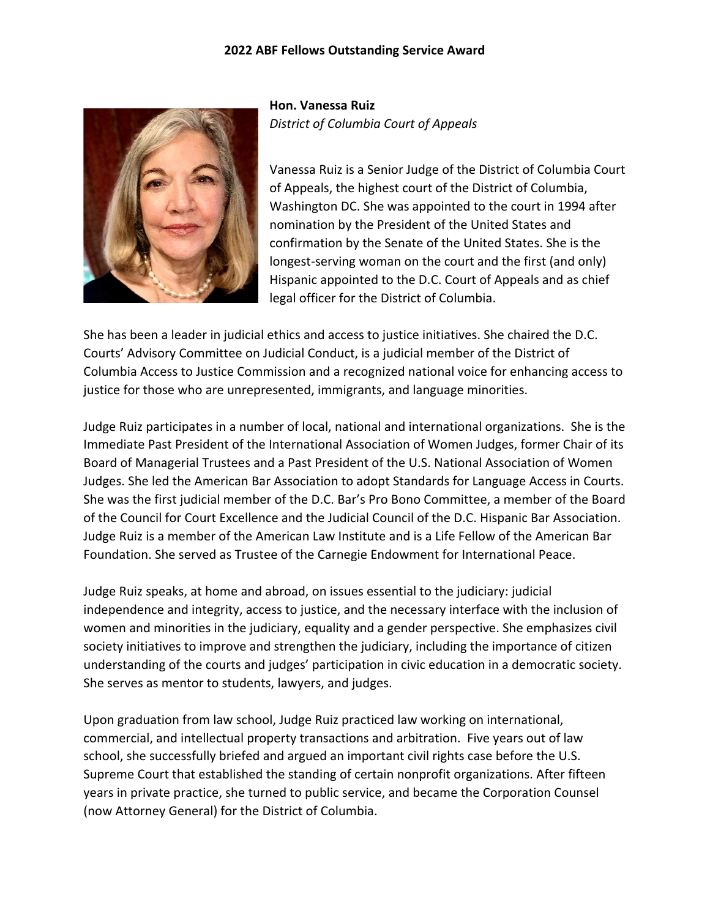## **2022 ABF Fellows Outstanding Service Award**



**Hon. Vanessa Ruiz** *District of Columbia Court of Appeals*

Vanessa Ruiz is a Senior Judge of the District of Columbia Court of Appeals, the highest court of the District of Columbia, Washington DC. She was appointed to the court in 1994 after nomination by the President of the United States and confirmation by the Senate of the United States. She is the longest-serving woman on the court and the first (and only) Hispanic appointed to the D.C. Court of Appeals and as chief legal officer for the District of Columbia.

She has been a leader in judicial ethics and access to justice initiatives. She chaired the D.C. Courts' Advisory Committee on Judicial Conduct, is a judicial member of the District of Columbia Access to Justice Commission and a recognized national voice for enhancing access to justice for those who are unrepresented, immigrants, and language minorities.

Judge Ruiz participates in a number of local, national and international organizations. She is the Immediate Past President of the International Association of Women Judges, former Chair of its Board of Managerial Trustees and a Past President of the U.S. National Association of Women Judges. She led the American Bar Association to adopt Standards for Language Access in Courts. She was the first judicial member of the D.C. Bar's Pro Bono Committee, a member of the Board of the Council for Court Excellence and the Judicial Council of the D.C. Hispanic Bar Association. Judge Ruiz is a member of the American Law Institute and is a Life Fellow of the American Bar Foundation. She served as Trustee of the Carnegie Endowment for International Peace.

Judge Ruiz speaks, at home and abroad, on issues essential to the judiciary: judicial independence and integrity, access to justice, and the necessary interface with the inclusion of women and minorities in the judiciary, equality and a gender perspective. She emphasizes civil society initiatives to improve and strengthen the judiciary, including the importance of citizen understanding of the courts and judges' participation in civic education in a democratic society. She serves as mentor to students, lawyers, and judges.

Upon graduation from law school, Judge Ruiz practiced law working on international, commercial, and intellectual property transactions and arbitration. Five years out of law school, she successfully briefed and argued an important civil rights case before the U.S. Supreme Court that established the standing of certain nonprofit organizations. After fifteen years in private practice, she turned to public service, and became the Corporation Counsel (now Attorney General) for the District of Columbia.